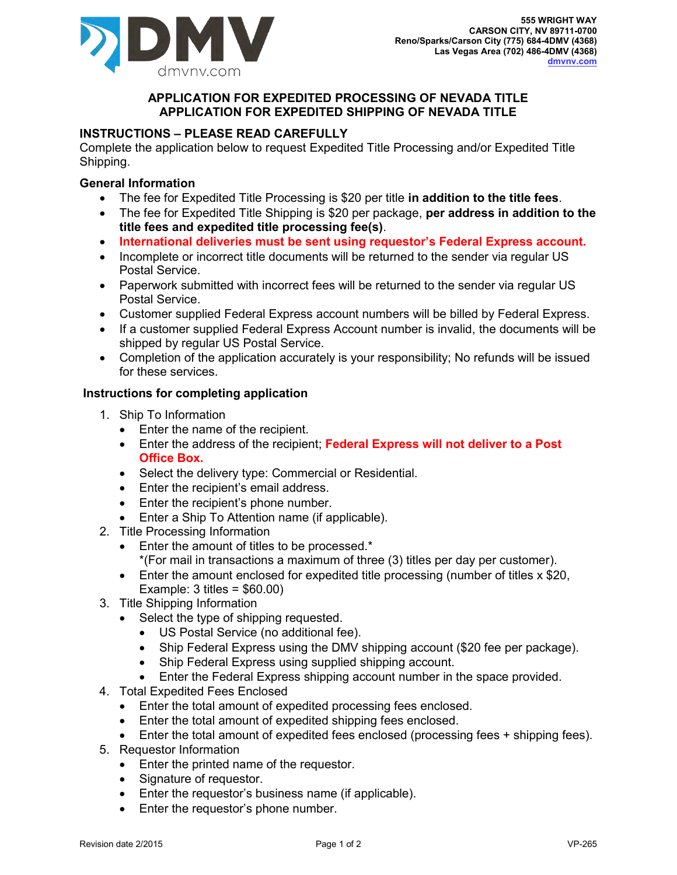

## **APPLICATION FOR EXPEDITED PROCESSING OF NEVADA TITLE APPLICATION FOR EXPEDITED SHIPPING OF NEVADA TITLE**

# **INSTRUCTIONS – PLEASE READ CAREFULLY**

Complete the application below to request Expedited Title Processing and/or Expedited Title Shipping.

## **General Information**

- The fee for Expedited Title Processing is \$20 per title **in addition to the title fees**.
- The fee for Expedited Title Shipping is \$20 per package, **per address in addition to the title fees and expedited title processing fee(s)**.
- **International deliveries must be sent using requestor's Federal Express account.**
- Incomplete or incorrect title documents will be returned to the sender via regular US Postal Service.
- Paperwork submitted with incorrect fees will be returned to the sender via regular US Postal Service.
- Customer supplied Federal Express account numbers will be billed by Federal Express.
- If a customer supplied Federal Express Account number is invalid, the documents will be shipped by regular US Postal Service.
- Completion of the application accurately is your responsibility; No refunds will be issued for these services.

## **Instructions for completing application**

- 1. Ship To Information
	- Enter the name of the recipient.
	- Enter the address of the recipient; **Federal Express will not deliver to a Post Office Box.**
	- Select the delivery type: Commercial or Residential.
	- Enter the recipient's email address.
	- Enter the recipient's phone number.
	- Enter a Ship To Attention name (if applicable).
- 2. Title Processing Information
	- Enter the amount of titles to be processed.\*
		- \*(For mail in transactions a maximum of three (3) titles per day per customer).
	- Enter the amount enclosed for expedited title processing (number of titles x \$20, Example: 3 titles = \$60.00)
- 3. Title Shipping Information
	- Select the type of shipping requested.
		- US Postal Service (no additional fee).
		- Ship Federal Express using the DMV shipping account (\$20 fee per package).
		- Ship Federal Express using supplied shipping account.
		- Enter the Federal Express shipping account number in the space provided.
- 4. Total Expedited Fees Enclosed
	- Enter the total amount of expedited processing fees enclosed.
	- Enter the total amount of expedited shipping fees enclosed.
	- Enter the total amount of expedited fees enclosed (processing fees + shipping fees).
- 5. Requestor Information
	- Enter the printed name of the requestor.
	- Signature of requestor.
	- Enter the requestor's business name (if applicable).
	- Enter the requestor's phone number.